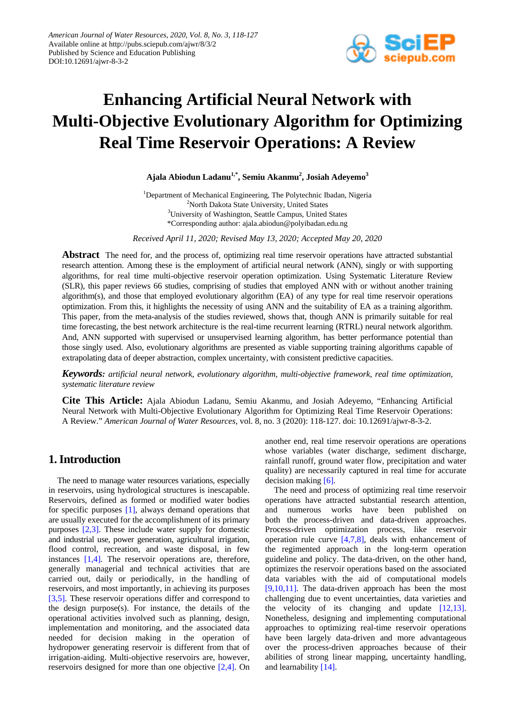

# **Enhancing Artificial Neural Network with Multi-Objective Evolutionary Algorithm for Optimizing Real Time Reservoir Operations: A Review**

**Ajala Abiodun Ladanu1,\*, Semiu Akanmu2 , Josiah Adeyemo<sup>3</sup>**

<sup>1</sup>Department of Mechanical Engineering, The Polytechnic Ibadan, Nigeria <sup>2</sup>North Dakota State University, United States <sup>3</sup>University of Washington, Seattle Campus, United States \*Corresponding author: ajala.abiodun@polyibadan.edu.ng

*Received April 11, 2020; Revised May 13, 2020; Accepted May 20, 2020*

**Abstract** The need for, and the process of, optimizing real time reservoir operations have attracted substantial research attention. Among these is the employment of artificial neural network (ANN), singly or with supporting algorithms, for real time multi-objective reservoir operation optimization. Using Systematic Literature Review (SLR), this paper reviews 66 studies, comprising of studies that employed ANN with or without another training algorithm(s), and those that employed evolutionary algorithm (EA) of any type for real time reservoir operations optimization. From this, it highlights the necessity of using ANN and the suitability of EA as a training algorithm. This paper, from the meta-analysis of the studies reviewed, shows that, though ANN is primarily suitable for real time forecasting, the best network architecture is the real-time recurrent learning (RTRL) neural network algorithm. And, ANN supported with supervised or unsupervised learning algorithm, has better performance potential than those singly used. Also, evolutionary algorithms are presented as viable supporting training algorithms capable of extrapolating data of deeper abstraction, complex uncertainty, with consistent predictive capacities.

*Keywords: artificial neural network, evolutionary algorithm, multi-objective framework, real time optimization, systematic literature review*

**Cite This Article:** Ajala Abiodun Ladanu, Semiu Akanmu, and Josiah Adeyemo, "Enhancing Artificial Neural Network with Multi-Objective Evolutionary Algorithm for Optimizing Real Time Reservoir Operations: A Review." *American Journal of Water Resources*, vol. 8, no. 3 (2020): 118-127. doi: 10.12691/ajwr-8-3-2.

## **1. Introduction**

The need to manage water resources variations, especially in reservoirs, using hydrological structures is inescapable. Reservoirs, defined as formed or modified water bodies for specific purposes [\[1\],](#page-7-0) always demand operations that are usually executed for the accomplishment of its primary purposes [\[2,3\].](#page-7-1) These include water supply for domestic and industrial use, power generation, agricultural irrigation, flood control, recreation, and waste disposal, in few instances [\[1,4\].](#page-7-0) The reservoir operations are, therefore, generally managerial and technical activities that are carried out, daily or periodically, in the handling of reservoirs, and most importantly, in achieving its purposes [\[3,5\].](#page-7-2) These reservoir operations differ and correspond to the design purpose(s). For instance, the details of the operational activities involved such as planning, design, implementation and monitoring, and the associated data needed for decision making in the operation of hydropower generating reservoir is different from that of irrigation-aiding. Multi-objective reservoirs are, however, reservoirs designed for more than one objective [\[2,4\].](#page-7-1) On another end, real time reservoir operations are operations whose variables (water discharge, sediment discharge, rainfall runoff, ground water flow, precipitation and water quality) are necessarily captured in real time for accurate decision makin[g \[6\].](#page-8-0)

The need and process of optimizing real time reservoir operations have attracted substantial research attention, and numerous works have been published on both the process-driven and data-driven approaches. Process-driven optimization process, like reservoir operation rule curve [\[4,7,8\],](#page-7-3) deals with enhancement of the regimented approach in the long-term operation guideline and policy. The data-driven, on the other hand, optimizes the reservoir operations based on the associated data variables with the aid of computational models [\[9,10,11\].](#page-8-1) The data-driven approach has been the most challenging due to event uncertainties, data varieties and the velocity of its changing and update  $[12,13]$ . Nonetheless, designing and implementing computational approaches to optimizing real-time reservoir operations have been largely data-driven and more advantageous over the process-driven approaches because of their abilities of strong linear mapping, uncertainty handling, and learnability [\[14\].](#page-8-3)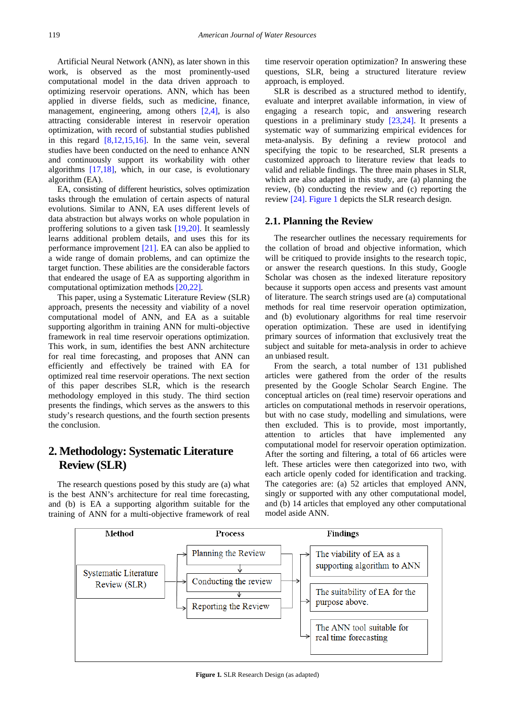Artificial Neural Network (ANN), as later shown in this work, is observed as the most prominently-used computational model in the data driven approach to optimizing reservoir operations. ANN, which has been applied in diverse fields, such as medicine, finance, management, engineering, among others [\[2,4\],](#page-7-1) is also attracting considerable interest in reservoir operation optimization, with record of substantial studies published in this regard [\[8,12,15,16\].](#page-8-4) In the same vein, several studies have been conducted on the need to enhance ANN and continuously support its workability with other algorithms [\[17,18\],](#page-8-5) which, in our case, is evolutionary algorithm (EA).

EA, consisting of different heuristics, solves optimization tasks through the emulation of certain aspects of natural evolutions. Similar to ANN, EA uses different levels of data abstraction but always works on whole population in proffering solutions to a given task [\[19,20\].](#page-8-6) It seamlessly learns additional problem details, and uses this for its performance improvement [\[21\].](#page-8-7) EA can also be applied to a wide range of domain problems, and can optimize the target function. These abilities are the considerable factors that endeared the usage of EA as supporting algorithm in computational optimization methods [\[20,22\].](#page-8-8)

This paper, using a Systematic Literature Review (SLR) approach, presents the necessity and viability of a novel computational model of ANN, and EA as a suitable supporting algorithm in training ANN for multi-objective framework in real time reservoir operations optimization. This work, in sum, identifies the best ANN architecture for real time forecasting, and proposes that ANN can efficiently and effectively be trained with EA for optimized real time reservoir operations. The next section of this paper describes SLR, which is the research methodology employed in this study. The third section presents the findings, which serves as the answers to this study's research questions, and the fourth section presents the conclusion.

## **2. Methodology: Systematic Literature Review (SLR)**

The research questions posed by this study are (a) what is the best ANN's architecture for real time forecasting, and (b) is EA a supporting algorithm suitable for the training of ANN for a multi-objective framework of real time reservoir operation optimization? In answering these questions, SLR, being a structured literature review approach, is employed.

SLR is described as a structured method to identify, evaluate and interpret available information, in view of engaging a research topic, and answering research questions in a preliminary study [\[23,24\].](#page-8-9) It presents a systematic way of summarizing empirical evidences for meta-analysis. By defining a review protocol and specifying the topic to be researched, SLR presents a customized approach to literature review that leads to valid and reliable findings. The three main phases in SLR, which are also adapted in this study, are (a) planning the review, (b) conducting the review and (c) reporting the review [\[24\].](#page-8-10) [Figure 1](#page-1-0) depicts the SLR research design.

#### **2.1. Planning the Review**

The researcher outlines the necessary requirements for the collation of broad and objective information, which will be critiqued to provide insights to the research topic, or answer the research questions. In this study, Google Scholar was chosen as the indexed literature repository because it supports open access and presents vast amount of literature. The search strings used are (a) computational methods for real time reservoir operation optimization, and (b) evolutionary algorithms for real time reservoir operation optimization. These are used in identifying primary sources of information that exclusively treat the subject and suitable for meta-analysis in order to achieve an unbiased result.

From the search, a total number of 131 published articles were gathered from the order of the results presented by the Google Scholar Search Engine. The conceptual articles on (real time) reservoir operations and articles on computational methods in reservoir operations, but with no case study, modelling and simulations, were then excluded. This is to provide, most importantly, attention to articles that have implemented any computational model for reservoir operation optimization. After the sorting and filtering, a total of 66 articles were left. These articles were then categorized into two, with each article openly coded for identification and tracking. The categories are: (a) 52 articles that employed ANN, singly or supported with any other computational model, and (b) 14 articles that employed any other computational model aside ANN.

<span id="page-1-0"></span>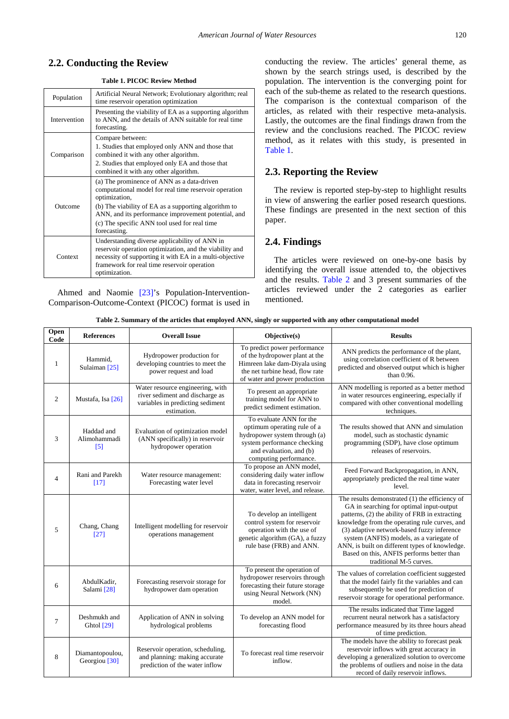**Table 1. PICOC Review Method**

<span id="page-2-0"></span>

| Population   | Artificial Neural Network; Evolutionary algorithm; real<br>time reservoir operation optimization                                                                                                                                                                                                    |
|--------------|-----------------------------------------------------------------------------------------------------------------------------------------------------------------------------------------------------------------------------------------------------------------------------------------------------|
| Intervention | Presenting the viability of EA as a supporting algorithm<br>to ANN, and the details of ANN suitable for real time<br>forecasting.                                                                                                                                                                   |
| Comparison   | Compare between:<br>1. Studies that employed only ANN and those that<br>combined it with any other algorithm.<br>2. Studies that employed only EA and those that<br>combined it with any other algorithm.                                                                                           |
| Outcome      | (a) The prominence of ANN as a data-driven<br>computational model for real time reservoir operation<br>optimization,<br>(b) The viability of EA as a supporting algorithm to<br>ANN, and its performance improvement potential, and<br>(c) The specific ANN tool used for real time<br>forecasting. |
| Context      | Understanding diverse applicability of ANN in<br>reservoir operation optimization, and the viability and<br>necessity of supporting it with EA in a multi-objective<br>framework for real time reservoir operation<br>optimization.                                                                 |

Ahmed and Naomie [\[23\]'](#page-8-9)s Population-Intervention-Comparison-Outcome-Context (PICOC) format is used in conducting the review. The articles' general theme, as shown by the search strings used, is described by the population. The intervention is the converging point for each of the sub-theme as related to the research questions. The comparison is the contextual comparison of the articles, as related with their respective meta-analysis. Lastly, the outcomes are the final findings drawn from the review and the conclusions reached. The PICOC review method, as it relates with this study, is presented in [Table 1.](#page-2-0)

#### **2.3. Reporting the Review**

The review is reported step-by-step to highlight results in view of answering the earlier posed research questions. These findings are presented in the next section of this paper.

### **2.4. Findings**

The articles were reviewed on one-by-one basis by identifying the overall issue attended to, the objectives and the results. [Table 2](#page-2-1) and 3 present summaries of the articles reviewed under the 2 categories as earlier mentioned.

| Table 2. Summary of the articles that employed ANN, singly or supported with any other computational model |                      |              |         |  |
|------------------------------------------------------------------------------------------------------------|----------------------|--------------|---------|--|
| References                                                                                                 | <b>Overall Issue</b> | Ohiertive(s) | Results |  |

<span id="page-2-1"></span>

| Open<br>Code   | <b>References</b>                           | <b>Overall Issue</b>                                                                                                   | Objective(s)                                                                                                                                                                | <b>Results</b>                                                                                                                                                                                                                                                                                                                                                                                                    |
|----------------|---------------------------------------------|------------------------------------------------------------------------------------------------------------------------|-----------------------------------------------------------------------------------------------------------------------------------------------------------------------------|-------------------------------------------------------------------------------------------------------------------------------------------------------------------------------------------------------------------------------------------------------------------------------------------------------------------------------------------------------------------------------------------------------------------|
| 1              | Hammid,<br>Sulaiman <sup>[25]</sup>         | Hydropower production for<br>developing countries to meet the<br>power request and load                                | To predict power performance<br>of the hydropower plant at the<br>Himreen lake dam-Diyala using<br>the net turbine head, flow rate<br>of water and power production         | ANN predicts the performance of the plant,<br>using correlation coefficient of R between<br>predicted and observed output which is higher<br>than 0.96.                                                                                                                                                                                                                                                           |
| $\overline{2}$ | Mustafa, Isa [26]                           | Water resource engineering, with<br>river sediment and discharge as<br>variables in predicting sediment<br>estimation. | To present an appropriate<br>training model for ANN to<br>predict sediment estimation.                                                                                      | ANN modelling is reported as a better method<br>in water resources engineering, especially if<br>compared with other conventional modelling<br>techniques.                                                                                                                                                                                                                                                        |
| 3              | Haddad and<br>Alimohammadi<br>$[5]$         | Evaluation of optimization model<br>(ANN specifically) in reservoir<br>hydropower operation                            | To evaluate ANN for the<br>optimum operating rule of a<br>hydropower system through (a)<br>system performance checking<br>and evaluation, and (b)<br>computing performance. | The results showed that ANN and simulation<br>model, such as stochastic dynamic<br>programming (SDP), have close optimum<br>releases of reservoirs.                                                                                                                                                                                                                                                               |
| $\overline{4}$ | Rani and Parekh<br>$[17]$                   | Water resource management:<br>Forecasting water level                                                                  | To propose an ANN model,<br>considering daily water inflow<br>data in forecasting reservoir<br>water, water level, and release.                                             | Feed Forward Backpropagation, in ANN,<br>appropriately predicted the real time water<br>level.                                                                                                                                                                                                                                                                                                                    |
| 5              | Chang, Chang<br>$[27]$                      | Intelligent modelling for reservoir<br>operations management                                                           | To develop an intelligent<br>control system for reservoir<br>operation with the use of<br>genetic algorithm (GA), a fuzzy<br>rule base (FRB) and ANN.                       | The results demonstrated (1) the efficiency of<br>GA in searching for optimal input-output<br>patterns, (2) the ability of FRB in extracting<br>knowledge from the operating rule curves, and<br>(3) adaptive network-based fuzzy inference<br>system (ANFIS) models, as a variegate of<br>ANN, is built on different types of knowledge.<br>Based on this, ANFIS performs better than<br>traditional M-5 curves. |
| 6              | AbdulKadir,<br>Salami [28]                  | Forecasting reservoir storage for<br>hydropower dam operation                                                          | To present the operation of<br>hydropower reservoirs through<br>forecasting their future storage<br>using Neural Network (NN)<br>model.                                     | The values of correlation coefficient suggested<br>that the model fairly fit the variables and can<br>subsequently be used for prediction of<br>reservoir storage for operational performance.                                                                                                                                                                                                                    |
| $\overline{7}$ | Deshmukh and<br>Ghtol [29]                  | Application of ANN in solving<br>hydrological problems                                                                 | To develop an ANN model for<br>forecasting flood                                                                                                                            | The results indicated that Time lagged<br>recurrent neural network has a satisfactory<br>performance measured by its three hours ahead<br>of time prediction.                                                                                                                                                                                                                                                     |
| 8              | Diamantopoulou,<br>Georgiou <sup>[30]</sup> | Reservoir operation, scheduling,<br>and planning: making accurate<br>prediction of the water inflow                    | To forecast real time reservoir<br>inflow.                                                                                                                                  | The models have the ability to forecast peak<br>reservoir inflows with great accuracy in<br>developing a generalized solution to overcome<br>the problems of outliers and noise in the data<br>record of daily reservoir inflows.                                                                                                                                                                                 |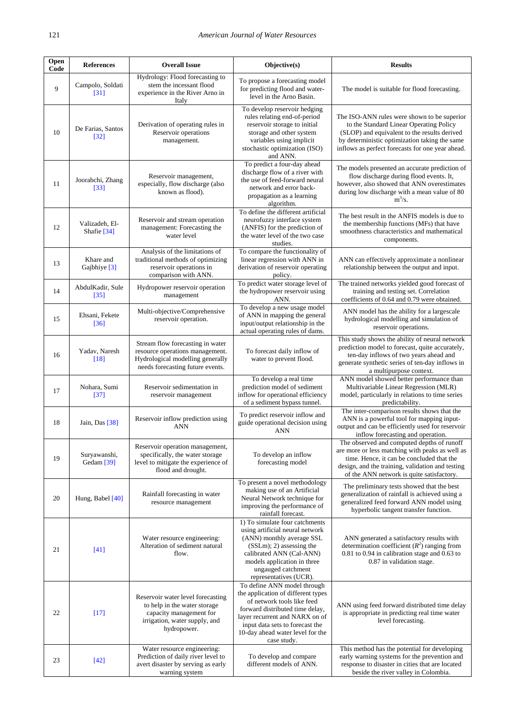| <b>Open</b><br>Code | <b>References</b>                     | <b>Overall Issue</b>                                                                                                                         | Objective(s)                                                                                                                                                                                                                                               | <b>Results</b>                                                                                                                                                                                                                              |
|---------------------|---------------------------------------|----------------------------------------------------------------------------------------------------------------------------------------------|------------------------------------------------------------------------------------------------------------------------------------------------------------------------------------------------------------------------------------------------------------|---------------------------------------------------------------------------------------------------------------------------------------------------------------------------------------------------------------------------------------------|
| 9                   | Campolo, Soldati<br>[31]              | Hydrology: Flood forecasting to<br>stem the incessant flood<br>experience in the River Arno in<br>Italy                                      | To propose a forecasting model<br>for predicting flood and water-<br>level in the Arno Basin.                                                                                                                                                              | The model is suitable for flood forecasting.                                                                                                                                                                                                |
| 10                  | De Farias, Santos<br>$[32]$           | Derivation of operating rules in<br>Reservoir operations<br>management.                                                                      | To develop reservoir hedging<br>rules relating end-of-period<br>reservoir storage to initial<br>storage and other system<br>variables using implicit<br>stochastic optimization (ISO)<br>and ANN.                                                          | The ISO-ANN rules were shown to be superior<br>to the Standard Linear Operating Policy<br>(SLOP) and equivalent to the results derived<br>by deterministic optimization taking the same<br>inflows as perfect forecasts for one year ahead. |
| 11                  | Joorabchi, Zhang<br>$[33]$            | Reservoir management,<br>especially, flow discharge (also<br>known as flood).                                                                | To predict a four-day ahead<br>discharge flow of a river with<br>the use of feed-forward neural<br>network and error back-<br>propagation as a learning<br>algorithm.                                                                                      | The models presented an accurate prediction of<br>flow discharge during flood events. It,<br>however, also showed that ANN overestimates<br>during low discharge with a mean value of 80<br>$m^3/s$ .                                       |
| 12                  | Valizadeh, El-<br>Shafie [34]         | Reservoir and stream operation<br>management: Forecasting the<br>water level                                                                 | To define the different artificial<br>neurofuzzy interface system<br>(ANFIS) for the prediction of<br>the water level of the two case<br>studies.                                                                                                          | The best result in the ANFIS models is due to<br>the membership functions (MFs) that have<br>smoothness characteristics and mathematical<br>components.                                                                                     |
| 13                  | Khare and<br>Gajbhiye <sup>[3]</sup>  | Analysis of the limitations of<br>traditional methods of optimizing<br>reservoir operations in<br>comparison with ANN.                       | To compare the functionality of<br>linear regression with ANN in<br>derivation of reservoir operating<br>policy.                                                                                                                                           | ANN can effectively approximate a nonlinear<br>relationship between the output and input.                                                                                                                                                   |
| 14                  | AbdulKadir, Sule<br>$[35]$            | Hydropower reservoir operation<br>management                                                                                                 | To predict water storage level of<br>the hydropower reservoir using<br>ANN.                                                                                                                                                                                | The trained networks yielded good forecast of<br>training and testing set. Correlation<br>coefficients of 0.64 and 0.79 were obtained.                                                                                                      |
| 15                  | Ehsani, Fekete<br>$[36]$              | Multi-objective/Comprehensive<br>reservoir operation.                                                                                        | To develop a new usage model<br>of ANN in mapping the general<br>input/output relationship in the<br>actual operating rules of dams.                                                                                                                       | ANN model has the ability for a largescale<br>hydrological modelling and simulation of<br>reservoir operations.                                                                                                                             |
| 16                  | Yadav, Naresh<br>$[18]$               | Stream flow forecasting in water<br>resource operations management.<br>Hydrological modelling generally<br>needs forecasting future events.  | To forecast daily inflow of<br>water to prevent flood.                                                                                                                                                                                                     | This study shows the ability of neural network<br>prediction model to forecast, quite accurately,<br>ten-day inflows of two years ahead and<br>generate synthetic series of ten-day inflows in<br>a multipurpose context.                   |
| 17                  | Nohara, Sumi<br>$[37]$                | Reservoir sedimentation in<br>reservoir management                                                                                           | To develop a real time<br>prediction model of sediment<br>inflow for operational efficiency<br>of a sediment bypass tunnel.                                                                                                                                | ANN model showed better performance than<br>Multivariable Linear Regression (MLR)<br>model, particularly in relations to time series<br>predictability.                                                                                     |
| 18                  | Jain, Das [38]                        | Reservoir inflow prediction using<br><b>ANN</b>                                                                                              | To predict reservoir inflow and<br>guide operational decision using<br><b>ANN</b>                                                                                                                                                                          | The inter-comparison results shows that the<br>ANN is a powerful tool for mapping input-<br>output and can be efficiently used for reservoir<br>inflow forecasting and operation.                                                           |
| 19                  | Suryawanshi,<br>Gedam <sup>[39]</sup> | Reservoir operation management,<br>specifically, the water storage<br>level to mitigate the experience of<br>flood and drought.              | To develop an inflow<br>forecasting model                                                                                                                                                                                                                  | The observed and computed depths of runoff<br>are more or less matching with peaks as well as<br>time. Hence, it can be concluded that the<br>design, and the training, validation and testing<br>of the ANN network is quite satisfactory. |
| 20                  | Hung, Babel [40]                      | Rainfall forecasting in water<br>resource management                                                                                         | To present a novel methodology<br>making use of an Artificial<br>Neural Network technique for<br>improving the performance of<br>rainfall forecast.                                                                                                        | The preliminary tests showed that the best<br>generalization of rainfall is achieved using a<br>generalized feed forward ANN model using<br>hyperbolic tangent transfer function.                                                           |
| 21                  | $[41]$                                | Water resource engineering:<br>Alteration of sediment natural<br>flow.                                                                       | 1) To simulate four catchments<br>using artificial neural network<br>(ANN) monthly average SSL<br>(SSLm); 2) assessing the<br>calibrated ANN (Cal-ANN)<br>models application in three<br>ungauged catchment<br>representatives (UCR).                      | ANN generated a satisfactory results with<br>determination coefficient $(R^2)$ ranging from<br>0.81 to 0.94 in calibration stage and 0.63 to<br>0.87 in validation stage.                                                                   |
| 22                  | $[17]$                                | Reservoir water level forecasting<br>to help in the water storage<br>capacity management for<br>irrigation, water supply, and<br>hydropower. | To define ANN model through<br>the application of different types<br>of network tools like feed<br>forward distributed time delay,<br>layer recurrent and NARX on of<br>input data sets to forecast the<br>10-day ahead water level for the<br>case study. | ANN using feed forward distributed time delay<br>is appropriate in predicting real time water<br>level forecasting.                                                                                                                         |
| 23                  | $[42]$                                | Water resource engineering:<br>Prediction of daily river level to<br>avert disaster by serving as early<br>warning system                    | To develop and compare<br>different models of ANN.                                                                                                                                                                                                         | This method has the potential for developing<br>early warning systems for the prevention and<br>response to disaster in cities that are located<br>beside the river valley in Colombia.                                                     |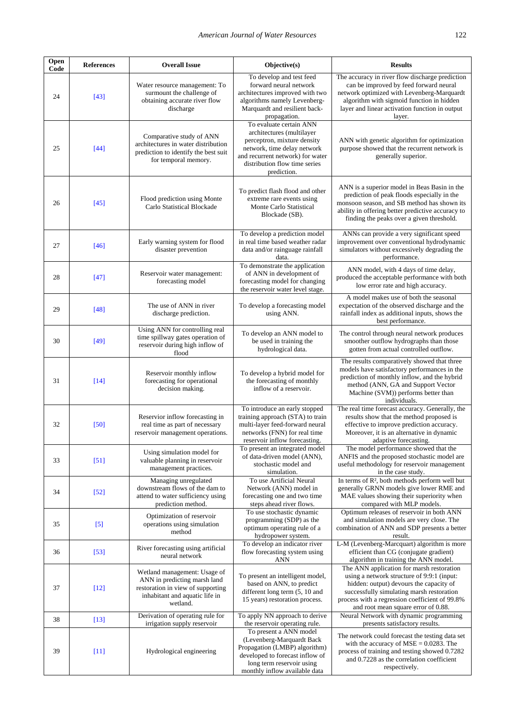| Open<br>Code | <b>References</b> | <b>Overall Issue</b>                                                                                                                            | Objective(s)                                                                                                                                                                                                                                                                                                                                                                                                               | <b>Results</b>                                                                                                                                                                                                                           |
|--------------|-------------------|-------------------------------------------------------------------------------------------------------------------------------------------------|----------------------------------------------------------------------------------------------------------------------------------------------------------------------------------------------------------------------------------------------------------------------------------------------------------------------------------------------------------------------------------------------------------------------------|------------------------------------------------------------------------------------------------------------------------------------------------------------------------------------------------------------------------------------------|
| 24           | $[43]$            | Water resource management: To<br>surmount the challenge of<br>obtaining accurate river flow<br>discharge                                        | To develop and test feed<br>The accuracy in river flow discharge prediction<br>forward neural network<br>can be improved by feed forward neural<br>architectures improved with two<br>network optimized with Levenberg-Marquardt<br>algorithm with sigmoid function in hidden<br>algorithms namely Levenberg-<br>Marquardt and resilient back-<br>layer and linear activation function in output<br>propagation.<br>layer. |                                                                                                                                                                                                                                          |
| 25           | $[44]$            | Comparative study of ANN<br>architectures in water distribution<br>prediction to identify the best suit<br>for temporal memory.                 | To evaluate certain ANN<br>architectures (multilayer<br>perceptron, mixture density<br>ANN with genetic algorithm for optimization<br>network, time delay network<br>purpose showed that the recurrent network is<br>and recurrent network) for water<br>generally superior.<br>distribution flow time series<br>prediction.                                                                                               |                                                                                                                                                                                                                                          |
| 26           | $[45]$            | Flood prediction using Monte<br>Carlo Statistical Blockade                                                                                      | ANN is a superior model in Beas Basin in the<br>To predict flash flood and other<br>prediction of peak floods especially in the<br>extreme rare events using<br>monsoon season, and SB method has shown its<br>Monte Carlo Statistical<br>ability in offering better predictive accuracy to<br>Blockade (SB).<br>finding the peaks over a given threshold.                                                                 |                                                                                                                                                                                                                                          |
| 27           | $[46]$            | Early warning system for flood<br>disaster prevention                                                                                           | To develop a prediction model<br>in real time based weather radar<br>data and/or rainguage rainfall<br>data.                                                                                                                                                                                                                                                                                                               | ANNs can provide a very significant speed<br>improvement over conventional hydrodynamic<br>simulators without excessively degrading the<br>performance.                                                                                  |
| 28           | $[47]$            | Reservoir water management:<br>forecasting model                                                                                                | To demonstrate the application<br>of ANN in development of<br>forecasting model for changing<br>the reservoir water level stage.                                                                                                                                                                                                                                                                                           | ANN model, with 4 days of time delay,<br>produced the acceptable performance with both<br>low error rate and high accuracy.                                                                                                              |
| 29           | $[48]$            | The use of ANN in river<br>discharge prediction.                                                                                                | To develop a forecasting model<br>using ANN.                                                                                                                                                                                                                                                                                                                                                                               | A model makes use of both the seasonal<br>expectation of the observed discharge and the<br>rainfall index as additional inputs, shows the<br>best performance.                                                                           |
| 30           | $[49]$            | Using ANN for controlling real<br>time spillway gates operation of<br>reservoir during high inflow of<br>flood                                  | To develop an ANN model to<br>be used in training the<br>hydrological data.                                                                                                                                                                                                                                                                                                                                                | The control through neural network produces<br>smoother outflow hydrographs than those<br>gotten from actual controlled outflow.                                                                                                         |
| 31           | $[14]$            | Reservoir monthly inflow<br>forecasting for operational<br>decision making.                                                                     | To develop a hybrid model for<br>the forecasting of monthly<br>inflow of a reservoir.                                                                                                                                                                                                                                                                                                                                      | The results comparatively showed that three<br>models have satisfactory performances in the<br>prediction of monthly inflow, and the hybrid<br>method (ANN, GA and Support Vector<br>Machine (SVM)) performs better than<br>individuals. |
| 32           | [50]              | Reservior inflow forecasting in<br>real time as part of necessary<br>reservoir management operations.                                           | The real time forecast accuracy. Generally, the<br>To introduce an early stopped<br>training approach (STA) to train<br>results show that the method proposed is<br>multi-layer feed-forward neural<br>effective to improve prediction accuracy.<br>networks (FNN) for real time<br>Moreover, it is an alternative in dynamic<br>reservoir inflow forecasting.<br>adaptive forecasting.                                    |                                                                                                                                                                                                                                          |
| 33           | $[51]$            | Using simulation model for<br>valuable planning in reservoir<br>management practices.                                                           | To present an integrated model<br>of data-driven model (ANN),<br>stochastic model and<br>simulation.                                                                                                                                                                                                                                                                                                                       | The model performance showed that the<br>ANFIS and the proposed stochastic model are<br>useful methodology for reservoir management<br>in the case study.                                                                                |
| 34           | $[52]$            | Managing unregulated<br>downstream flows of the dam to<br>attend to water sufficiency using<br>prediction method.                               | To use Artificial Neural<br>Network (ANN) model in<br>forecasting one and two time<br>steps ahead river flows.                                                                                                                                                                                                                                                                                                             | In terms of R <sup>2</sup> , both methods perform well but<br>generally GRNN models give lower RME and<br>MAE values showing their superiority when<br>compared with MLP models.                                                         |
| 35           | $[5]$             | Optimization of reservoir<br>operations using simulation<br>method                                                                              | To use stochastic dynamic<br>Optimum releases of reservoir in both ANN<br>programming (SDP) as the<br>and simulation models are very close. The<br>optimum operating rule of a<br>combination of ANN and SDP presents a better<br>hydropower system.<br>result.                                                                                                                                                            |                                                                                                                                                                                                                                          |
| 36           | $[53]$            | River forecasting using artificial<br>neural network                                                                                            | To develop an indicator river<br>flow forecasting system using<br><b>ANN</b>                                                                                                                                                                                                                                                                                                                                               | L-M (Levenberg-Marcquart) algorithm is more<br>efficient than CG (conjugate gradient)<br>algorithm in training the ANN model.                                                                                                            |
| 37           | $[12]$            | Wetland management: Usage of<br>ANN in predicting marsh land<br>restoration in view of supporting<br>inhabitant and aquatic life in<br>wetland. | The ANN application for marsh restoration<br>To present an intelligent model,<br>using a network structure of 9:9:1 (input:<br>based on ANN, to predict<br>hidden: output) devours the capacity of<br>different long term (5, 10 and<br>successfully simulating marsh restoration<br>15 years) restoration process.<br>process with a regression coefficient of 99.8%<br>and root mean square error of 0.88.               |                                                                                                                                                                                                                                          |
| 38           | $[13]$            | Derivation of operating rule for<br>irrigation supply reservoir                                                                                 | To apply NN approach to derive<br>the reservoir operating rule.                                                                                                                                                                                                                                                                                                                                                            | Neural Network with dynamic programming<br>presents satisfactory results.                                                                                                                                                                |
| 39           | $[11]$            | Hydrological engineering                                                                                                                        | To present a ANN model<br>(Levenberg-Marquardt Back<br>Propagation (LMBP) algorithm)<br>developed to forecast inflow of<br>long term reservoir using<br>monthly inflow available data                                                                                                                                                                                                                                      | The network could forecast the testing data set<br>with the accuracy of $MSE = 0.0283$ . The<br>process of training and testing showed 0.7282<br>and 0.7228 as the correlation coefficient<br>respectively.                              |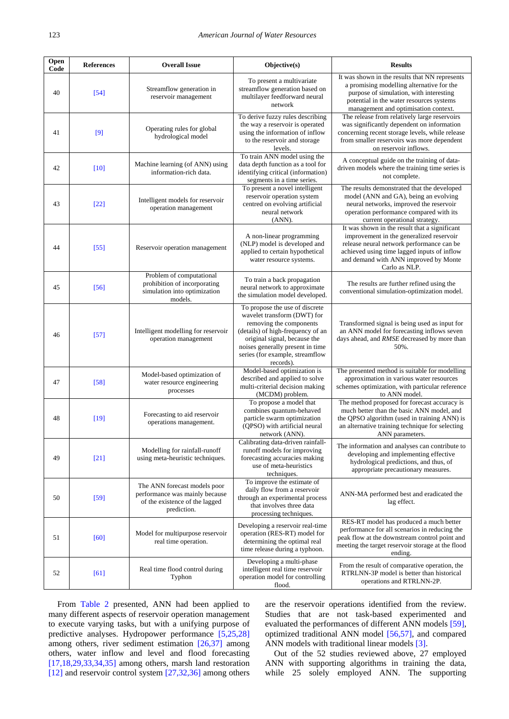| Open<br>Code | <b>References</b> | <b>Overall Issue</b>                                                                                            | Objective(s)                                                                                                                                                                                                                                                                                                                          | <b>Results</b>                                                                                                                                                                                                                                  |
|--------------|-------------------|-----------------------------------------------------------------------------------------------------------------|---------------------------------------------------------------------------------------------------------------------------------------------------------------------------------------------------------------------------------------------------------------------------------------------------------------------------------------|-------------------------------------------------------------------------------------------------------------------------------------------------------------------------------------------------------------------------------------------------|
| 40           | $[54]$            | Streamflow generation in<br>reservoir management                                                                | It was shown in the results that NN represents<br>To present a multivariate<br>a promising modelling alternative for the<br>streamflow generation based on<br>purpose of simulation, with interesting<br>multilayer feedforward neural<br>potential in the water resources systems<br>network<br>management and optimisation context. |                                                                                                                                                                                                                                                 |
| 41           | [9]               | Operating rules for global<br>hydrological model                                                                | To derive fuzzy rules describing<br>the way a reservoir is operated<br>using the information of inflow<br>to the reservoir and storage<br>levels.                                                                                                                                                                                     | The release from relatively large reservoirs<br>was significantly dependent on information<br>concerning recent storage levels, while release<br>from smaller reservoirs was more dependent<br>on reservoir inflows.                            |
| 42           | [10]              | Machine learning (of ANN) using<br>information-rich data.                                                       | To train ANN model using the<br>data depth function as a tool for<br>identifying critical (information)<br>segments in a time series.                                                                                                                                                                                                 | A conceptual guide on the training of data-<br>driven models where the training time series is<br>not complete.                                                                                                                                 |
| 43           | $[22]$            | Intelligent models for reservoir<br>operation management                                                        | To present a novel intelligent<br>reservoir operation system<br>centred on evolving artificial<br>neural network<br>(ANN).                                                                                                                                                                                                            | The results demonstrated that the developed<br>model (ANN and GA), being an evolving<br>neural networks, improved the reservoir<br>operation performance compared with its<br>current operational strategy.                                     |
| 44           | $[55]$            | Reservoir operation management                                                                                  | A non-linear programming<br>(NLP) model is developed and<br>applied to certain hypothetical<br>water resource systems.                                                                                                                                                                                                                | It was shown in the result that a significant<br>improvement in the generalized reservoir<br>release neural network performance can be<br>achieved using time lagged inputs of inflow<br>and demand with ANN improved by Monte<br>Carlo as NLP. |
| 45           | $[56]$            | Problem of computational<br>prohibition of incorporating<br>simulation into optimization<br>models.             | To train a back propagation<br>neural network to approximate<br>the simulation model developed.                                                                                                                                                                                                                                       | The results are further refined using the<br>conventional simulation-optimization model.                                                                                                                                                        |
| 46           | [57]              | Intelligent modelling for reservoir<br>operation management                                                     | To propose the use of discrete<br>wavelet transform (DWT) for<br>removing the components<br>(details) of high-frequency of an<br>original signal, because the<br>noises generally present in time<br>series (for example, streamflow<br>records).                                                                                     | Transformed signal is being used as input for<br>an ANN model for forecasting inflows seven<br>days ahead, and RMSE decreased by more than<br>50%.                                                                                              |
| 47           | [58]              | Model-based optimization of<br>water resource engineering<br>processes                                          | Model-based optimization is<br>described and applied to solve<br>multi-criterial decision making<br>(MCDM) problem.                                                                                                                                                                                                                   | The presented method is suitable for modelling<br>approximation in various water resources<br>schemes optimization, with particular reference<br>to ANN model.                                                                                  |
| 48           | $[19]$            | Forecasting to aid reservoir<br>operations management.                                                          | To propose a model that<br>combines quantum-behaved<br>particle swarm optimization<br>(QPSO) with artificial neural<br>network (ANN).                                                                                                                                                                                                 | The method proposed for forecast accuracy is<br>much better than the basic ANN model, and<br>the QPSO algorithm (used in training ANN) is<br>an alternative training technique for selecting<br>ANN parameters.                                 |
| 49           | $[21]$            | Modelling for rainfall-runoff<br>using meta-heuristic techniques.                                               | Calibrating data-driven rainfall-<br>runoff models for improving<br>forecasting accuracies making<br>use of meta-heuristics<br>techniques.                                                                                                                                                                                            | The information and analyses can contribute to<br>developing and implementing effective<br>hydrological predictions, and thus, of<br>appropriate precautionary measures.                                                                        |
| 50           | $[59]$            | The ANN forecast models poor<br>performance was mainly because<br>of the existence of the lagged<br>prediction. | To improve the estimate of<br>daily flow from a reservoir<br>through an experimental process<br>that involves three data<br>processing techniques.                                                                                                                                                                                    | ANN-MA performed best and eradicated the<br>lag effect.                                                                                                                                                                                         |
| 51           | [60]              | Model for multipurpose reservoir<br>real time operation.                                                        | Developing a reservoir real-time<br>operation (RES-RT) model for<br>determining the optimal real<br>time release during a typhoon.                                                                                                                                                                                                    | RES-RT model has produced a much better<br>performance for all scenarios in reducing the<br>peak flow at the downstream control point and<br>meeting the target reservoir storage at the flood<br>ending.                                       |
| 52           | [61]              | Real time flood control during<br>Typhon                                                                        | Developing a multi-phase<br>intelligent real time reservoir<br>operation model for controlling<br>flood.                                                                                                                                                                                                                              | From the result of comparative operation, the<br>RTRLNN-3P model is better than historical<br>operations and RTRLNN-2P.                                                                                                                         |

From [Table 2](#page-2-1) presented, ANN had been applied to many different aspects of reservoir operation management to execute varying tasks, but with a unifying purpose of predictive analyses. Hydropower performance [\[5,25,28\]](#page-7-4) among others, river sediment estimation [\[26,37\]](#page-8-12) among others, water inflow and level and flood forecasting  $[17,18,29,33,34,35]$  among others, marsh land restoration [\[12\]](#page-8-2) and reservoir control system [\[27,32,36\]](#page-8-13) among others are the reservoir operations identified from the review. Studies that are not task-based experimented and evaluated the performances of different ANN models [\[59\],](#page-9-10) optimized traditional ANN model [\[56,57\],](#page-9-7) and compared ANN models with traditional linear models [\[3\].](#page-7-2)

Out of the 52 studies reviewed above, 27 employed ANN with supporting algorithms in training the data, while 25 solely employed ANN. The supporting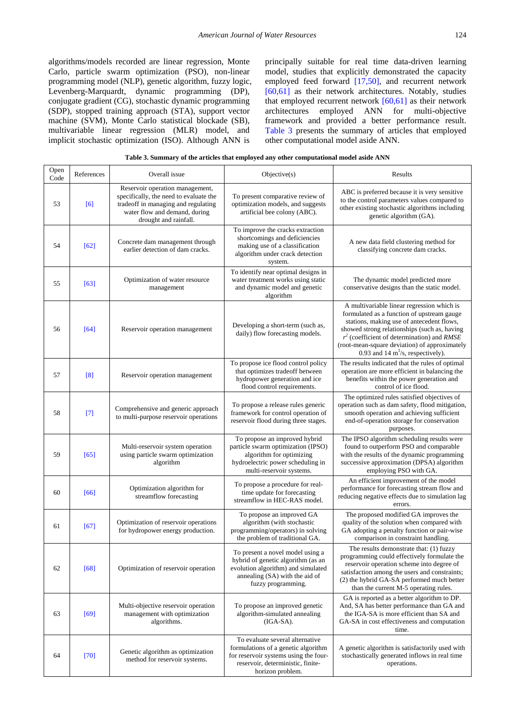algorithms/models recorded are linear regression, Monte Carlo, particle swarm optimization (PSO), non-linear programming model (NLP), genetic algorithm, fuzzy logic, Levenberg-Marquardt, dynamic programming (DP), conjugate gradient (CG), stochastic dynamic programming (SDP), stopped training approach (STA), support vector machine (SVM), Monte Carlo statistical blockade (SB), multivariable linear regression (MLR) model, and implicit stochastic optimization (ISO). Although ANN is

principally suitable for real time data-driven learning model, studies that explicitly demonstrated the capacity employed feed forward [\[17,50\],](#page-8-5) and recurrent network [\[60,61\]](#page-9-11) as their network architectures. Notably, studies that employed recurrent network [\[60,61\]](#page-9-11) as their network architectures employed ANN for multi-objective framework and provided a better performance result. [Table 3](#page-6-0) presents the summary of articles that employed other computational model aside ANN.

| Table 3. Summary of the articles that employed any other computational model aside ANN |  |  |
|----------------------------------------------------------------------------------------|--|--|
|                                                                                        |  |  |

<span id="page-6-0"></span>

| Open<br>Code | References | Overall issue                                                                                                                                                              | Objective(s)                                                                                                                                                             | Results                                                                                                                                                                                                                                                                                                                         |
|--------------|------------|----------------------------------------------------------------------------------------------------------------------------------------------------------------------------|--------------------------------------------------------------------------------------------------------------------------------------------------------------------------|---------------------------------------------------------------------------------------------------------------------------------------------------------------------------------------------------------------------------------------------------------------------------------------------------------------------------------|
| 53           | [6]        | Reservoir operation management,<br>specifically, the need to evaluate the<br>tradeoff in managing and regulating<br>water flow and demand, during<br>drought and rainfall. | To present comparative review of<br>optimization models, and suggests<br>artificial bee colony (ABC).                                                                    | ABC is preferred because it is very sensitive<br>to the control parameters values compared to<br>other existing stochastic algorithms including<br>genetic algorithm (GA).                                                                                                                                                      |
| 54           | $[62]$     | Concrete dam management through<br>earlier detection of dam cracks.                                                                                                        | To improve the cracks extraction<br>shortcomings and deficiencies<br>making use of a classification<br>algorithm under crack detection<br>system.                        | A new data field clustering method for<br>classifying concrete dam cracks.                                                                                                                                                                                                                                                      |
| 55           | [63]       | Optimization of water resource<br>management                                                                                                                               | To identify near optimal designs in<br>water treatment works using static<br>and dynamic model and genetic<br>algorithm                                                  | The dynamic model predicted more<br>conservative designs than the static model.                                                                                                                                                                                                                                                 |
| 56           | $[64]$     | Reservoir operation management                                                                                                                                             | Developing a short-term (such as,<br>daily) flow forecasting models.                                                                                                     | A multivariable linear regression which is<br>formulated as a function of upstream gauge<br>stations, making use of antecedent flows,<br>showed strong relationships (such as, having<br>$r^2$ (coefficient of determination) and RMSE<br>(root-mean-square deviation) of approximately<br>0.93 and 14 $m^3$ /s, respectively). |
| 57           | [8]        | Reservoir operation management                                                                                                                                             | To propose ice flood control policy<br>that optimizes tradeoff between<br>hydropower generation and ice<br>flood control requirements.                                   | The results indicated that the rules of optimal<br>operation are more efficient in balancing the<br>benefits within the power generation and<br>control of ice flood.                                                                                                                                                           |
| 58           | $[7]$      | Comprehensive and generic approach<br>to multi-purpose reservoir operations                                                                                                | To propose a release rules generic<br>framework for control operation of<br>reservoir flood during three stages.                                                         | The optimized rules satisfied objectives of<br>operation such as dam safety, flood mitigation,<br>smooth operation and achieving sufficient<br>end-of-operation storage for conservation<br>purposes.                                                                                                                           |
| 59           | [65]       | Multi-reservoir system operation<br>using particle swarm optimization<br>algorithm                                                                                         | To propose an improved hybrid<br>particle swarm optimization (IPSO)<br>algorithm for optimizing<br>hydroelectric power scheduling in<br>multi-reservoir systems.         | The IPSO algorithm scheduling results were<br>found to outperform PSO and comparable<br>with the results of the dynamic programming<br>successive approximation (DPSA) algorithm<br>employing PSO with GA.                                                                                                                      |
| 60           | [66]       | Optimization algorithm for<br>streamflow forecasting                                                                                                                       | To propose a procedure for real-<br>time update for forecasting<br>streamflow in HEC-RAS model.                                                                          | An efficient improvement of the model<br>performance for forecasting stream flow and<br>reducing negative effects due to simulation lag<br>errors.                                                                                                                                                                              |
| 61           | [67]       | Optimization of reservoir operations<br>for hydropower energy production.                                                                                                  | To propose an improved GA<br>algorithm (with stochastic<br>programming/operators) in solving<br>the problem of traditional GA.                                           | The proposed modified GA improves the<br>quality of the solution when compared with<br>GA adopting a penalty function or pair-wise<br>comparison in constraint handling.                                                                                                                                                        |
| 62           | $[68]$     | Optimization of reservoir operation                                                                                                                                        | To present a novel model using a<br>hybrid of genetic algorithm (as an<br>evolution algorithm) and simulated<br>annealing (SA) with the aid of<br>fuzzy programming.     | The results demonstrate that: $(1)$ fuzzy<br>programming could effectively formulate the<br>reservoir operation scheme into degree of<br>satisfaction among the users and constraints;<br>(2) the hybrid GA-SA performed much better<br>than the current M-5 operating rules.                                                   |
| 63           | $[69]$     | Multi-objective reservoir operation<br>management with optimization<br>algorithms.                                                                                         | To propose an improved genetic<br>algorithm-simulated annealing<br>$(IGA-SA).$                                                                                           | GA is reported as a better algorithm to DP.<br>And, SA has better performance than GA and<br>the IGA-SA is more efficient than SA and<br>GA-SA in cost effectiveness and computation<br>time.                                                                                                                                   |
| 64           | $[70]$     | Genetic algorithm as optimization<br>method for reservoir systems.                                                                                                         | To evaluate several alternative<br>formulations of a genetic algorithm<br>for reservoir systems using the four-<br>reservoir, deterministic, finite-<br>horizon problem. | A genetic algorithm is satisfactorily used with<br>stochastically generated inflows in real time<br>operations.                                                                                                                                                                                                                 |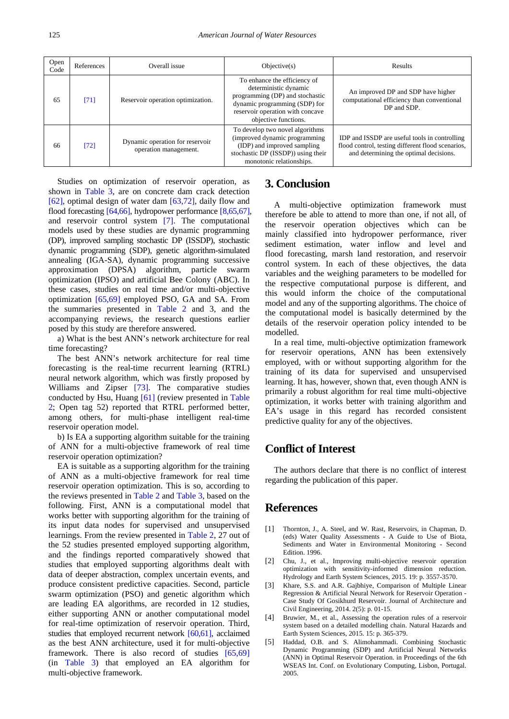| Open<br>Code | References | Overall issue                                            | Objective(s)                                                                                                                                                                          | Results                                                                                                                                      |
|--------------|------------|----------------------------------------------------------|---------------------------------------------------------------------------------------------------------------------------------------------------------------------------------------|----------------------------------------------------------------------------------------------------------------------------------------------|
| 65           | [71]       | Reservoir operation optimization.                        | To enhance the efficiency of<br>deterministic dynamic<br>programming (DP) and stochastic<br>dynamic programming (SDP) for<br>reservoir operation with concave<br>objective functions. | An improved DP and SDP have higher<br>computational efficiency than conventional<br>DP and SDP.                                              |
| 66           | $[72]$     | Dynamic operation for reservoir<br>operation management. | To develop two novel algorithms<br>(improved dynamic programming<br>(IDP) and improved sampling<br>stochastic DP (ISSDP)) using their<br>monotonic relationships.                     | IDP and ISSDP are useful tools in controlling<br>flood control, testing different flood scenarios,<br>and determining the optimal decisions. |

Studies on optimization of reservoir operation, as shown in [Table 3,](#page-6-0) are on concrete dam crack detection [\[62\],](#page-9-13) optimal design of water dam [\[63,72\],](#page-9-14) daily flow and flood forecasting [\[64,66\],](#page-9-15) hydropower performance [\[8,65,67\],](#page-8-4) and reservoir control system [\[7\].](#page-8-40) The computational models used by these studies are dynamic programming (DP), improved sampling stochastic DP (ISSDP), stochastic dynamic programming (SDP), genetic algorithm-simulated annealing (IGA-SA), dynamic programming successive approximation (DPSA) algorithm, particle swarm optimization (IPSO) and artificial Bee Colony (ABC). In these cases, studies on real time and/or multi-objective optimization [\[65,69\]](#page-9-16) employed PSO, GA and SA. From the summaries presented in [Table 2](#page-2-1) and 3, and the accompanying reviews, the research questions earlier posed by this study are therefore answered.

a) What is the best ANN's network architecture for real time forecasting?

The best ANN's network architecture for real time forecasting is the real-time recurrent learning (RTRL) neural network algorithm, which was firstly proposed by Williams and Zipser [\[73\].](#page-9-24) The comparative studies conducted by Hsu, Huang [\[61\]](#page-9-12) (review presented in [Table](#page-2-1)  [2;](#page-2-1) Open tag 52) reported that RTRL performed better, among others, for multi-phase intelligent real-time reservoir operation model.

b) Is EA a supporting algorithm suitable for the training of ANN for a multi-objective framework of real time reservoir operation optimization?

EA is suitable as a supporting algorithm for the training of ANN as a multi-objective framework for real time reservoir operation optimization. This is so, according to the reviews presented in [Table 2](#page-2-1) and [Table 3,](#page-6-0) based on the following. First, ANN is a computational model that works better with supporting algorithm for the training of its input data nodes for supervised and unsupervised learnings. From the review presented in [Table 2,](#page-2-1) 27 out of the 52 studies presented employed supporting algorithm, and the findings reported comparatively showed that studies that employed supporting algorithms dealt with data of deeper abstraction, complex uncertain events, and produce consistent predictive capacities. Second, particle swarm optimization (PSO) and genetic algorithm which are leading EA algorithms, are recorded in 12 studies, either supporting ANN or another computational model for real-time optimization of reservoir operation. Third, studies that employed recurrent network [\[60,61\],](#page-9-11) acclaimed as the best ANN architecture, used it for multi-objective framework. There is also record of studies [\[65,69\]](#page-9-16) (in [Table 3\)](#page-6-0) that employed an EA algorithm for multi-objective framework.

## **3. Conclusion**

A multi-objective optimization framework must therefore be able to attend to more than one, if not all, of the reservoir operation objectives which can be mainly classified into hydropower performance, river sediment estimation, water inflow and level and flood forecasting, marsh land restoration, and reservoir control system. In each of these objectives, the data variables and the weighing parameters to be modelled for the respective computational purpose is different, and this would inform the choice of the computational model and any of the supporting algorithms. The choice of the computational model is basically determined by the details of the reservoir operation policy intended to be modelled.

In a real time, multi-objective optimization framework for reservoir operations, ANN has been extensively employed, with or without supporting algorithm for the training of its data for supervised and unsupervised learning. It has, however, shown that, even though ANN is primarily a robust algorithm for real time multi-objective optimization, it works better with training algorithm and EA's usage in this regard has recorded consistent predictive quality for any of the objectives.

## **Conflict of Interest**

The authors declare that there is no conflict of interest regarding the publication of this paper.

## **References**

- <span id="page-7-0"></span>[1] Thornton, J., A. Steel, and W. Rast, Reservoirs, in Chapman, D. (eds) Water Quality Assessments - A Guide to Use of Biota, Sediments and Water in Environmental Monitoring - Second Edition. 1996.
- <span id="page-7-1"></span>[2] Chu, J., et al., Improving multi-objective reservoir operation optimization with sensitivity-informed dimension reduction. Hydrology and Earth System Sciences, 2015. 19: p. 3557-3570.
- <span id="page-7-2"></span>[3] Khare, S.S. and A.R. Gajbhiye, Comparison of Multiple Linear Regression & Artificial Neural Network for Reservoir Operation - Case Study Of Gosikhurd Reservoir. Journal of Architecture and Civil Engineering, 2014. 2(5): p. 01-15.
- <span id="page-7-3"></span>[4] Bruwier, M., et al., Assessing the operation rules of a reservoir system based on a detailed modelling chain. Natural Hazards and Earth System Sciences, 2015. 15: p. 365-379.
- <span id="page-7-4"></span>[5] Haddad, O.B. and S. Alimohammadi. Combining Stochastic Dynamic Programming (SDP) and Artificial Neural Networks (ANN) in Optimal Reservoir Operation. in Proceedings of the 6th WSEAS Int. Conf. on Evolutionary Computing, Lisbon, Portugal. 2005.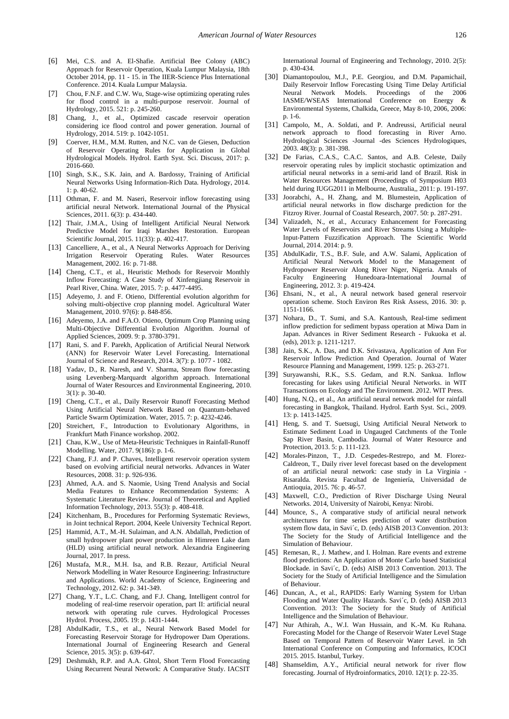- <span id="page-8-0"></span>[6] Mei, C.S. and A. El-Shafie. Artificial Bee Colony (ABC) Approach for Reservoir Operation, Kuala Lumpur Malaysia, 18th October 2014, pp. 11 - 15. in The IIER-Science Plus International Conference. 2014. Kuala Lumpur Malaysia.
- <span id="page-8-40"></span>[7] Chou, F.N.F. and C.W. Wu, Stage-wise optimizing operating rules for flood control in a multi-purpose reservoir. Journal of Hydrology, 2015. 521: p. 245-260.
- <span id="page-8-4"></span>[8] Chang, J., et al., Optimized cascade reservoir operation considering ice flood control and power generation. Journal of Hydrology, 2014. 519: p. 1042-1051.
- <span id="page-8-1"></span>[9] Coerver, H.M., M.M. Rutten, and N.C. van de Giesen, Deduction of Reservoir Operating Rules for Application in Global Hydrological Models. Hydrol. Earth Syst. Sci. Discuss, 2017: p. 2016-660.
- <span id="page-8-38"></span>[10] Singh, S.K., S.K. Jain, and A. Bardossy, Training of Artificial Neural Networks Using Information-Rich Data. Hydrology, 2014. 1: p. 40-62.
- <span id="page-8-37"></span>[11] Othman, F. and M. Naseri, Reservoir inflow forecasting using artificial neural Network. International Journal of the Physical Sciences, 2011. 6(3): p. 434-440.
- <span id="page-8-2"></span>[12] Thair, J.M.A., Using of Intelligent Artificial Neural Network Predictive Model for Iraqi Marshes Restoration. European Scientific Journal, 2015. 11(33): p. 402-417.
- <span id="page-8-36"></span>[13] Cancelliere, A., et al., A Neural Networks Approach for Deriving Irrigation Reservoir Operating Rules. Water Resources Management, 2002. 16: p. 71-88.
- <span id="page-8-3"></span>[14] Cheng, C.T., et al., Heuristic Methods for Reservoir Monthly Inflow Forecasting: A Case Study of Xinfengjiang Reservoir in Pearl River, China. Water, 2015. 7: p. 4477-4495.
- [15] Adeyemo, J. and F. Otieno, Differential evolution algorithm for solving multi-objective crop planning model. Agricultural Water Management, 2010. 97(6): p. 848-856.
- [16] Adeyemo, J.A. and F.A.O. Otieno, Optimum Crop Planning using Multi-Objective Differential Evolution Algorithm. Journal of Applied Sciences, 2009. 9: p. 3780-3791.
- <span id="page-8-5"></span>[17] Rani, S. and F. Parekh, Application of Artificial Neural Network (ANN) for Reservoir Water Level Forecasting. International Journal of Science and Research, 2014. 3(7): p. 1077 - 1082.
- <span id="page-8-23"></span>[18] Yadav, D., R. Naresh, and V. Sharma, Stream flow forecasting using Levenberg-Marquardt algorithm approach. International Journal of Water Resources and Environmental Engineering, 2010. 3(1): p. 30-40.
- <span id="page-8-6"></span>[19] Cheng, C.T., et al., Daily Reservoir Runoff Forecasting Method Using Artificial Neural Network Based on Quantum-behaved Particle Swarm Optimization. Water, 2015. 7: p. 4232-4246.
- <span id="page-8-8"></span>[20] Streichert, F., Introduction to Evolutionary Algorithms, in Frankfurt Math Finance workshop. 2002.
- <span id="page-8-7"></span>[21] Chau, K.W., Use of Meta-Heuristic Techniques in Rainfall-Runoff Modelling. Water, 2017. 9(186): p. 1-6.
- <span id="page-8-39"></span>[22] Chang, F.J. and P. Chaves, Intelligent reservoir operation system based on evolving artificial neural networks. Advances in Water Resources, 2008. 31: p. 926-936.
- <span id="page-8-9"></span>[23] Ahmed, A.A. and S. Naomie, Using Trend Analysis and Social Media Features to Enhance Recommendation Systems: A Systematic Literature Review. Journal of Theoretical and Applied Information Technology, 2013. 55(3): p. 408-418.
- <span id="page-8-10"></span>[24] Kitchenham, B., Procedures for Performing Systematic Reviews, in Joint technical Report. 2004, Keele University Technical Report.
- <span id="page-8-11"></span>[25] Hammid, A.T., M.-H. Sulaiman, and A.N. Abdallah, Prediction of small hydropower plant power production in Himreen Lake dam (HLD) using artificial neural network. Alexandria Engineering Journal, 2017. In press.
- <span id="page-8-12"></span>[26] Mustafa, M.R., M.H. Isa, and R.B. Rezaur, Artificial Neural Network Modelling in Water Resource Engineering: Infrastructure and Applications. World Academy of Science, Engineering and Technology, 2012. 62: p. 341-349.
- <span id="page-8-13"></span>[27] Chang, Y.T., L.C. Chang, and F.J. Chang, Intelligent control for modeling of real-time reservoir operation, part II: artificial neural network with operating rule curves. Hydrological Processes Hydrol. Process, 2005. 19: p. 1431-1444.
- <span id="page-8-14"></span>[28] AbdulKadir, T.S., et al., Neural Network Based Model for Forecasting Reservoir Storage for Hydropower Dam Operations. International Journal of Engineering Research and General Science, 2015. 3(5): p. 639-647.
- <span id="page-8-15"></span>[29] Deshmukh, R.P. and A.A. Ghtol, Short Term Flood Forecasting Using Recurrent Neural Network: A Comparative Study. IACSIT

International Journal of Engineering and Technology, 2010. 2(5): p. 430-434.

- <span id="page-8-16"></span>[30] Diamantopoulou, M.J., P.E. Georgiou, and D.M. Papamichail, Daily Reservoir Inflow Forecasting Using Time Delay Artificial Neural Network Models. Proceedings of the 2006 IASME/WSEAS International Conference on Energy & Environmental Systems, Chalkida, Greece, May 8-10, 2006, 2006: p. 1-6.
- <span id="page-8-17"></span>[31] Campolo, M., A. Soldati, and P. Andreussi, Artificial neural network approach to flood forecasting in River Arno. Hydrological Sciences -Journal -des Sciences Hydrologiques, 2003. 48(3): p. 381-398.
- <span id="page-8-18"></span>[32] De Farias, C.A.S., C.A.C. Santos, and A.B. Celeste, Daily reservoir operating rules by implicit stochastic optimization and artificial neural networks in a semi-arid land of Brazil. Risk in Water Resources Management (Proceedings of Symposium H03 held during IUGG2011 in Melbourne, Australia,, 2011: p. 191-197.
- <span id="page-8-19"></span>[33] Joorabchi, A., H. Zhang, and M. Blumestein, Application of artificial neural networks in flow discharge prediction for the Fitzroy River. Journal of Coastal Research, 2007. 50: p. 287-291.
- <span id="page-8-20"></span>[34] Valizadeh, N., et al., Accuracy Enhancement for Forecasting Water Levels of Reservoirs and River Streams Using a Multiple-Input-Pattern Fuzzification Approach. The Scientific World Journal, 2014. 2014: p. 9.
- <span id="page-8-21"></span>[35] AbdulKadir, T.S., B.F. Sule, and A.W. Salami, Application of Artificial Neural Network Model to the Management of Hydropower Reservoir Along River Niger, Nigeria. Annals of Faculty Engineering Hunedoara-International Journal Engineering, 2012. 3: p. 419-424.
- <span id="page-8-22"></span>[36] Ehsani, N., et al., A neural network based general reservoir operation scheme. Stoch Environ Res Risk Assess, 2016. 30: p. 1151-1166.
- <span id="page-8-24"></span>[37] Nohara, D., T. Sumi, and S.A. Kantoush, Real-time sediment inflow prediction for sediment bypass operation at Miwa Dam in Japan. Advances in River Sediment Research - Fukuoka et al. (eds), 2013: p. 1211-1217.
- <span id="page-8-25"></span>[38] Jain, S.K., A. Das, and D.K. Srivastava, Application of Ann For Reservoir Inflow Prediction And Operation. Journal of Water Resource Planning and Management, 1999. 125: p. 263-271.
- <span id="page-8-26"></span>[39] Suryawanshi, R.K., S.S. Gedam, and R.N. Sankua. Inflow forecasting for lakes using Artificial Neural Networks. in WIT Transactions on Ecology and The Environment. 2012. WIT Press.
- <span id="page-8-27"></span>[40] Hung, N.Q., et al., An artificial neural network model for rainfall forecasting in Bangkok, Thailand. Hydrol. Earth Syst. Sci., 2009. 13: p. 1413-1425.
- <span id="page-8-28"></span>[41] Heng, S. and T. Suetsugi, Using Artificial Neural Network to Estimate Sediment Load in Ungauged Catchments of the Tonle Sap River Basin, Cambodia. Journal of Water Resource and Protection, 2013. 5: p. 111-123.
- <span id="page-8-29"></span>[42] Morales-Pinzon, T., J.D. Cespedes-Restrepo, and M. Florez-Caldreon, T., Daily river level forecast based on the development of an artificial neural network: case study in La Virginia - Risaralda. Revista Facultad de Ingeniería, Universidad de Antioquia, 2015. 76: p. 46-57.
- <span id="page-8-30"></span>[43] Maxwell, C.O., Prediction of River Discharge Using Neural Networks. 2014, University of Nairobi, Kenya: Nirobi.
- <span id="page-8-31"></span>[44] Mounce, S., A comparative study of artificial neural network architectures for time series prediction of water distribution system flow data, in Savi´c, D. (eds) AISB 2013 Convention. 2013: The Society for the Study of Artificial Intelligence and the Simulation of Behaviour.
- <span id="page-8-32"></span>[45] Remesan, R., J. Mathew, and I. Holman. Rare events and extreme flood predictions: An Application of Monte Carlo based Statistical Blockade. in Savi´c, D. (eds) AISB 2013 Convention. 2013. The Society for the Study of Artificial Intelligence and the Simulation of Behaviour.
- <span id="page-8-33"></span>[46] Duncan, A., et al., RAPIDS: Early Warning System for Urban Flooding and Water Quality Hazards. Savi´c, D. (eds) AISB 2013 Convention. 2013: The Society for the Study of Artificial Intelligence and the Simulation of Behaviour.
- <span id="page-8-34"></span>[47] Nur Athirah, A., W.I. Wan Hussain, and K.-M. Ku Ruhana. Forecasting Model for the Change of Reservoir Water Level Stage Based on Temporal Pattern of Reservoir Water Level. in 5th International Conference on Computing and Informatics, ICOCI 2015. 2015. Istanbul, Turkey.
- <span id="page-8-35"></span>[48] Shamseldim, A.Y., Artificial neural network for river flow forecasting. Journal of Hydroinformatics, 2010. 12(1): p. 22-35.